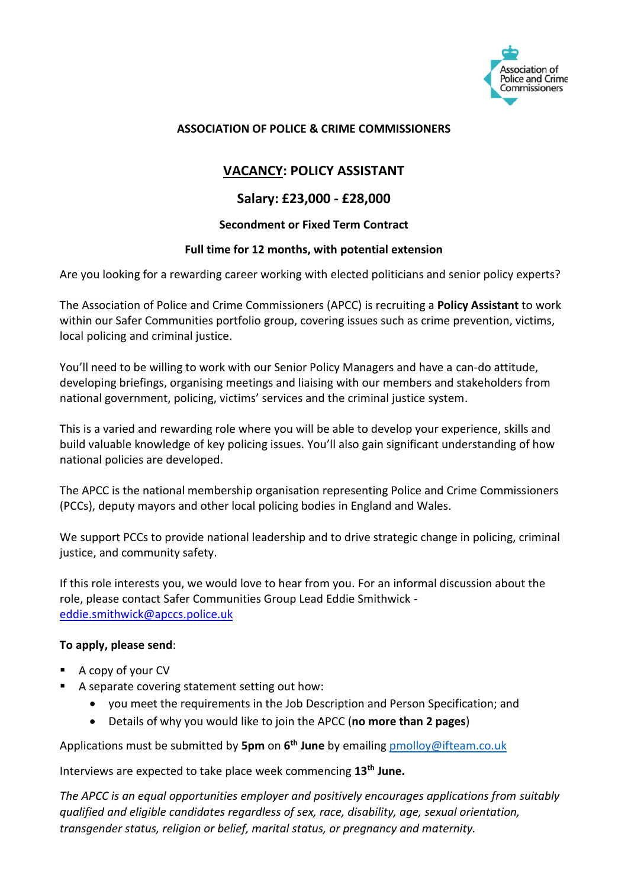

#### **ASSOCIATION OF POLICE & CRIME COMMISSIONERS**

## **VACANCY: POLICY ASSISTANT**

### **Salary: £23,000 - £28,000**

#### **Secondment or Fixed Term Contract**

#### **Full time for 12 months, with potential extension**

Are you looking for a rewarding career working with elected politicians and senior policy experts?

The Association of Police and Crime Commissioners (APCC) is recruiting a **Policy Assistant** to work within our Safer Communities portfolio group, covering issues such as crime prevention, victims, local policing and criminal justice.

You'll need to be willing to work with our Senior Policy Managers and have a can-do attitude, developing briefings, organising meetings and liaising with our members and stakeholders from national government, policing, victims' services and the criminal justice system.

This is a varied and rewarding role where you will be able to develop your experience, skills and build valuable knowledge of key policing issues. You'll also gain significant understanding of how national policies are developed.

The APCC is the national membership organisation representing Police and Crime Commissioners (PCCs), deputy mayors and other local policing bodies in England and Wales.

We support PCCs to provide national leadership and to drive strategic change in policing, criminal justice, and community safety.

If this role interests you, we would love to hear from you. For an informal discussion about the role, please contact Safer Communities Group Lead Eddie Smithwick [eddie.smithwick@apccs.police.uk](mailto:eddie.smithwick@apccs.police.uk)

#### **To apply, please send**:

- A copy of your CV
- A separate covering statement setting out how:
	- you meet the requirements in the Job Description and Person Specification; and
	- Details of why you would like to join the APCC (**no more than 2 pages**)

Applications must be submitted by **5pm** on **6 th June** by emailing [pmolloy@ifteam.co.uk](mailto:pmolloy@ifteam.co.uk)

Interviews are expected to take place week commencing **13th June.**

*The APCC is an equal opportunities employer and positively encourages applications from suitably qualified and eligible candidates regardless of sex, race, disability, age, sexual orientation, transgender status, religion or belief, marital status, or pregnancy and maternity.*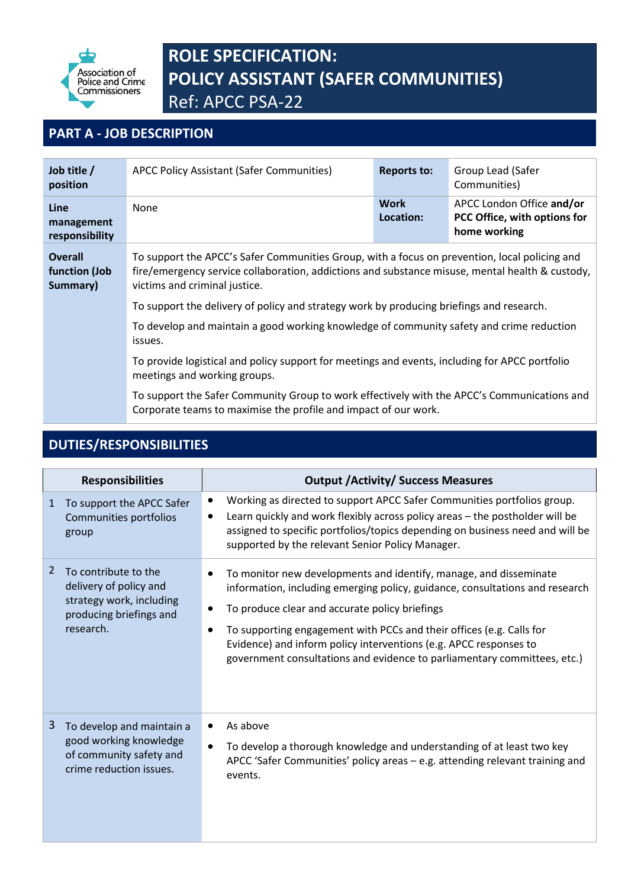

# **ROLE SPECIFICATION: POLICY ASSISTANT (SAFER COMMUNITIES)** Ref: APCC PSA-22

## **PART A - JOB DESCRIPTION**

| Job title /<br>position                                                                                                        | <b>APCC Policy Assistant (Safer Communities)</b>                                                                                                                                                                                                                                                                              | <b>Reports to:</b>                                                                       | Group Lead (Safer<br>Communities)                                         |  |
|--------------------------------------------------------------------------------------------------------------------------------|-------------------------------------------------------------------------------------------------------------------------------------------------------------------------------------------------------------------------------------------------------------------------------------------------------------------------------|------------------------------------------------------------------------------------------|---------------------------------------------------------------------------|--|
| Line<br>management<br>responsibility                                                                                           | None                                                                                                                                                                                                                                                                                                                          | Work<br>Location:                                                                        | APCC London Office and/or<br>PCC Office, with options for<br>home working |  |
| <b>Overall</b><br>function (Job<br>Summary)                                                                                    | To support the APCC's Safer Communities Group, with a focus on prevention, local policing and<br>fire/emergency service collaboration, addictions and substance misuse, mental health & custody,<br>victims and criminal justice.<br>To support the delivery of policy and strategy work by producing briefings and research. |                                                                                          |                                                                           |  |
|                                                                                                                                |                                                                                                                                                                                                                                                                                                                               |                                                                                          |                                                                           |  |
|                                                                                                                                | issues.                                                                                                                                                                                                                                                                                                                       | To develop and maintain a good working knowledge of community safety and crime reduction |                                                                           |  |
| To provide logistical and policy support for meetings and events, including for APCC portfolio<br>meetings and working groups. |                                                                                                                                                                                                                                                                                                                               |                                                                                          |                                                                           |  |
|                                                                                                                                | To support the Safer Community Group to work effectively with the APCC's Communications and<br>Corporate teams to maximise the profile and impact of our work.                                                                                                                                                                |                                                                                          |                                                                           |  |

## **DUTIES/RESPONSIBILITIES**

| <b>Responsibilities</b> |                                                                                                                    | <b>Output / Activity/ Success Measures</b>                                                                                                                                                                                                                                                                                                                                                                                                                          |  |  |
|-------------------------|--------------------------------------------------------------------------------------------------------------------|---------------------------------------------------------------------------------------------------------------------------------------------------------------------------------------------------------------------------------------------------------------------------------------------------------------------------------------------------------------------------------------------------------------------------------------------------------------------|--|--|
| $\mathbf{1}$            | To support the APCC Safer<br>Communities portfolios<br>group                                                       | Working as directed to support APCC Safer Communities portfolios group.<br>$\bullet$<br>Learn quickly and work flexibly across policy areas - the postholder will be<br>$\bullet$<br>assigned to specific portfolios/topics depending on business need and will be<br>supported by the relevant Senior Policy Manager.                                                                                                                                              |  |  |
| 2                       | To contribute to the<br>delivery of policy and<br>strategy work, including<br>producing briefings and<br>research. | To monitor new developments and identify, manage, and disseminate<br>$\bullet$<br>information, including emerging policy, guidance, consultations and research<br>To produce clear and accurate policy briefings<br>$\bullet$<br>To supporting engagement with PCCs and their offices (e.g. Calls for<br>$\bullet$<br>Evidence) and inform policy interventions (e.g. APCC responses to<br>government consultations and evidence to parliamentary committees, etc.) |  |  |
| 3                       | To develop and maintain a<br>good working knowledge<br>of community safety and<br>crime reduction issues.          | As above<br>$\bullet$<br>To develop a thorough knowledge and understanding of at least two key<br>$\bullet$<br>APCC 'Safer Communities' policy areas - e.g. attending relevant training and<br>events.                                                                                                                                                                                                                                                              |  |  |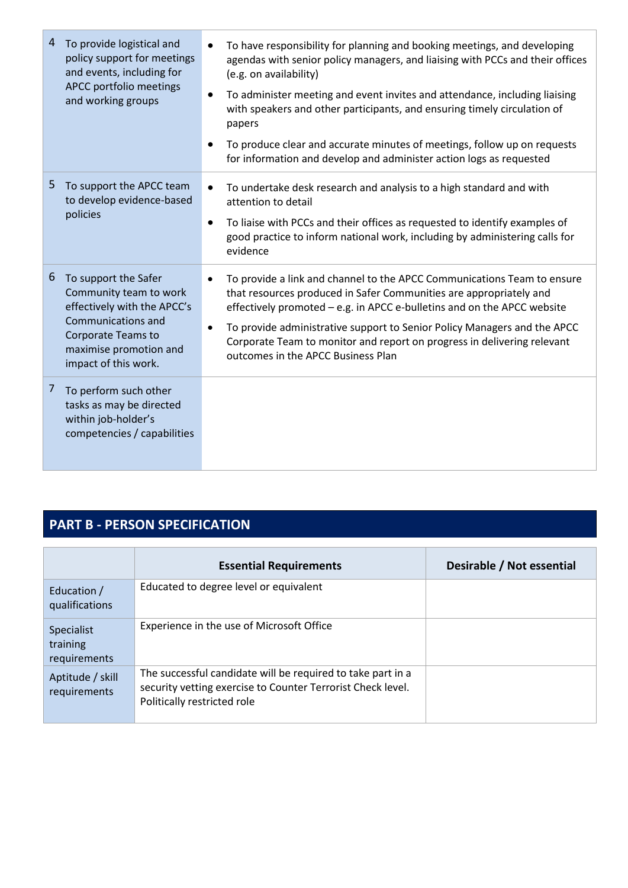| 4  | To provide logistical and<br>policy support for meetings<br>and events, including for<br>APCC portfolio meetings<br>and working groups                                             | To have responsibility for planning and booking meetings, and developing<br>$\bullet$<br>agendas with senior policy managers, and liaising with PCCs and their offices<br>(e.g. on availability)<br>To administer meeting and event invites and attendance, including liaising<br>$\bullet$<br>with speakers and other participants, and ensuring timely circulation of<br>papers<br>To produce clear and accurate minutes of meetings, follow up on requests<br>$\bullet$<br>for information and develop and administer action logs as requested |
|----|------------------------------------------------------------------------------------------------------------------------------------------------------------------------------------|---------------------------------------------------------------------------------------------------------------------------------------------------------------------------------------------------------------------------------------------------------------------------------------------------------------------------------------------------------------------------------------------------------------------------------------------------------------------------------------------------------------------------------------------------|
| 5. | To support the APCC team<br>to develop evidence-based<br>policies                                                                                                                  | To undertake desk research and analysis to a high standard and with<br>$\bullet$<br>attention to detail<br>To liaise with PCCs and their offices as requested to identify examples of<br>$\bullet$<br>good practice to inform national work, including by administering calls for<br>evidence                                                                                                                                                                                                                                                     |
| 6  | To support the Safer<br>Community team to work<br>effectively with the APCC's<br>Communications and<br><b>Corporate Teams to</b><br>maximise promotion and<br>impact of this work. | To provide a link and channel to the APCC Communications Team to ensure<br>$\bullet$<br>that resources produced in Safer Communities are appropriately and<br>effectively promoted - e.g. in APCC e-bulletins and on the APCC website<br>To provide administrative support to Senior Policy Managers and the APCC<br>$\bullet$<br>Corporate Team to monitor and report on progress in delivering relevant<br>outcomes in the APCC Business Plan                                                                                                   |
| 7  | To perform such other<br>tasks as may be directed<br>within job-holder's<br>competencies / capabilities                                                                            |                                                                                                                                                                                                                                                                                                                                                                                                                                                                                                                                                   |

## **PART B - PERSON SPECIFICATION**

|                                        | <b>Essential Requirements</b>                                                                                                                             | Desirable / Not essential |
|----------------------------------------|-----------------------------------------------------------------------------------------------------------------------------------------------------------|---------------------------|
| Education /<br>qualifications          | Educated to degree level or equivalent                                                                                                                    |                           |
| Specialist<br>training<br>requirements | Experience in the use of Microsoft Office                                                                                                                 |                           |
| Aptitude / skill<br>requirements       | The successful candidate will be required to take part in a<br>security vetting exercise to Counter Terrorist Check level.<br>Politically restricted role |                           |